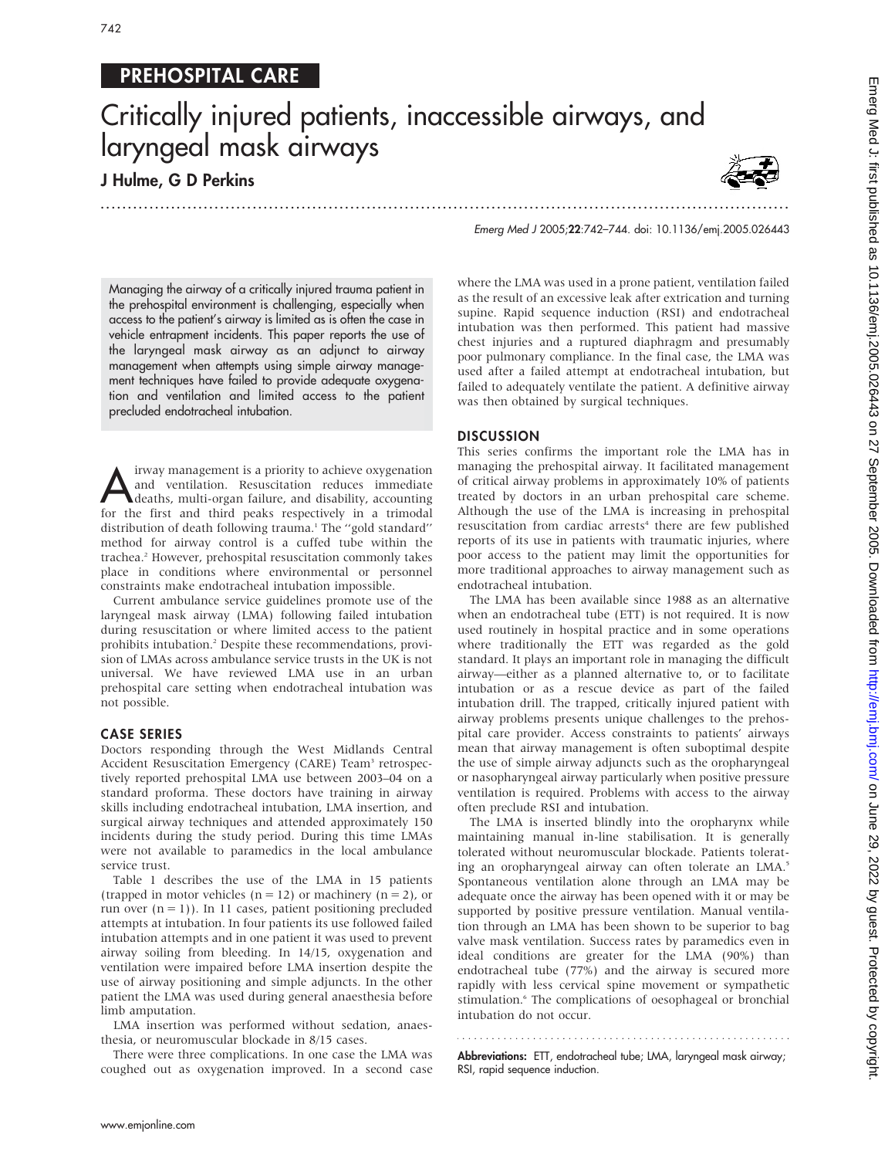## PREHOSPITAL CARE

# Critically injured patients, inaccessible airways, and laryngeal mask airways

...............................................................................................................................

### J Hulme, G D Perkins



Emerg Med J 2005;22:742–744. doi: 10.1136/emj.2005.026443

Managing the airway of a critically injured trauma patient in the prehospital environment is challenging, especially when access to the patient's airway is limited as is often the case in vehicle entrapment incidents. This paper reports the use of the laryngeal mask airway as an adjunct to airway management when attempts using simple airway management techniques have failed to provide adequate oxygenation and ventilation and limited access to the patient precluded endotracheal intubation.

I irway management is a priority to achieve oxygenation<br>and ventilation. Resuscitation reduces immediate<br>deaths, multi-organ failure, and disability, accounting<br>for the first and third peaks respectively in a trimodal and ventilation. Resuscitation reduces immediate for the first and third peaks respectively in a trimodal distribution of death following trauma.<sup>1</sup> The "gold standard" method for airway control is a cuffed tube within the trachea.<sup>2</sup> However, prehospital resuscitation commonly takes place in conditions where environmental or personnel constraints make endotracheal intubation impossible.

Current ambulance service guidelines promote use of the laryngeal mask airway (LMA) following failed intubation during resuscitation or where limited access to the patient prohibits intubation.<sup>2</sup> Despite these recommendations, provision of LMAs across ambulance service trusts in the UK is not universal. We have reviewed LMA use in an urban prehospital care setting when endotracheal intubation was not possible.

#### CASE SERIES

Doctors responding through the West Midlands Central Accident Resuscitation Emergency (CARE) Team<sup>3</sup> retrospectively reported prehospital LMA use between 2003–04 on a standard proforma. These doctors have training in airway skills including endotracheal intubation, LMA insertion, and surgical airway techniques and attended approximately 150 incidents during the study period. During this time LMAs were not available to paramedics in the local ambulance service trust.

Table 1 describes the use of the LMA in 15 patients (trapped in motor vehicles ( $n = 12$ ) or machinery ( $n = 2$ ), or run over  $(n = 1)$ ). In 11 cases, patient positioning precluded attempts at intubation. In four patients its use followed failed intubation attempts and in one patient it was used to prevent airway soiling from bleeding. In 14/15, oxygenation and ventilation were impaired before LMA insertion despite the use of airway positioning and simple adjuncts. In the other patient the LMA was used during general anaesthesia before limb amputation.

LMA insertion was performed without sedation, anaesthesia, or neuromuscular blockade in 8/15 cases.

There were three complications. In one case the LMA was coughed out as oxygenation improved. In a second case where the LMA was used in a prone patient, ventilation failed as the result of an excessive leak after extrication and turning supine. Rapid sequence induction (RSI) and endotracheal intubation was then performed. This patient had massive chest injuries and a ruptured diaphragm and presumably poor pulmonary compliance. In the final case, the LMA was used after a failed attempt at endotracheal intubation, but failed to adequately ventilate the patient. A definitive airway was then obtained by surgical techniques.

#### DISCUSSION

This series confirms the important role the LMA has in managing the prehospital airway. It facilitated management of critical airway problems in approximately 10% of patients treated by doctors in an urban prehospital care scheme. Although the use of the LMA is increasing in prehospital resuscitation from cardiac arrests<sup>4</sup> there are few published reports of its use in patients with traumatic injuries, where poor access to the patient may limit the opportunities for more traditional approaches to airway management such as endotracheal intubation.

The LMA has been available since 1988 as an alternative when an endotracheal tube (ETT) is not required. It is now used routinely in hospital practice and in some operations where traditionally the ETT was regarded as the gold standard. It plays an important role in managing the difficult airway—either as a planned alternative to, or to facilitate intubation or as a rescue device as part of the failed intubation drill. The trapped, critically injured patient with airway problems presents unique challenges to the prehospital care provider. Access constraints to patients' airways mean that airway management is often suboptimal despite the use of simple airway adjuncts such as the oropharyngeal or nasopharyngeal airway particularly when positive pressure ventilation is required. Problems with access to the airway often preclude RSI and intubation.

The LMA is inserted blindly into the oropharynx while maintaining manual in-line stabilisation. It is generally tolerated without neuromuscular blockade. Patients tolerating an oropharyngeal airway can often tolerate an LMA.<sup>5</sup> Spontaneous ventilation alone through an LMA may be adequate once the airway has been opened with it or may be supported by positive pressure ventilation. Manual ventilation through an LMA has been shown to be superior to bag valve mask ventilation. Success rates by paramedics even in ideal conditions are greater for the LMA (90%) than endotracheal tube (77%) and the airway is secured more rapidly with less cervical spine movement or sympathetic stimulation.<sup>6</sup> The complications of oesophageal or bronchial intubation do not occur.

Abbreviations: ETT, endotracheal tube; LMA, laryngeal mask airway; RSI, rapid sequence induction.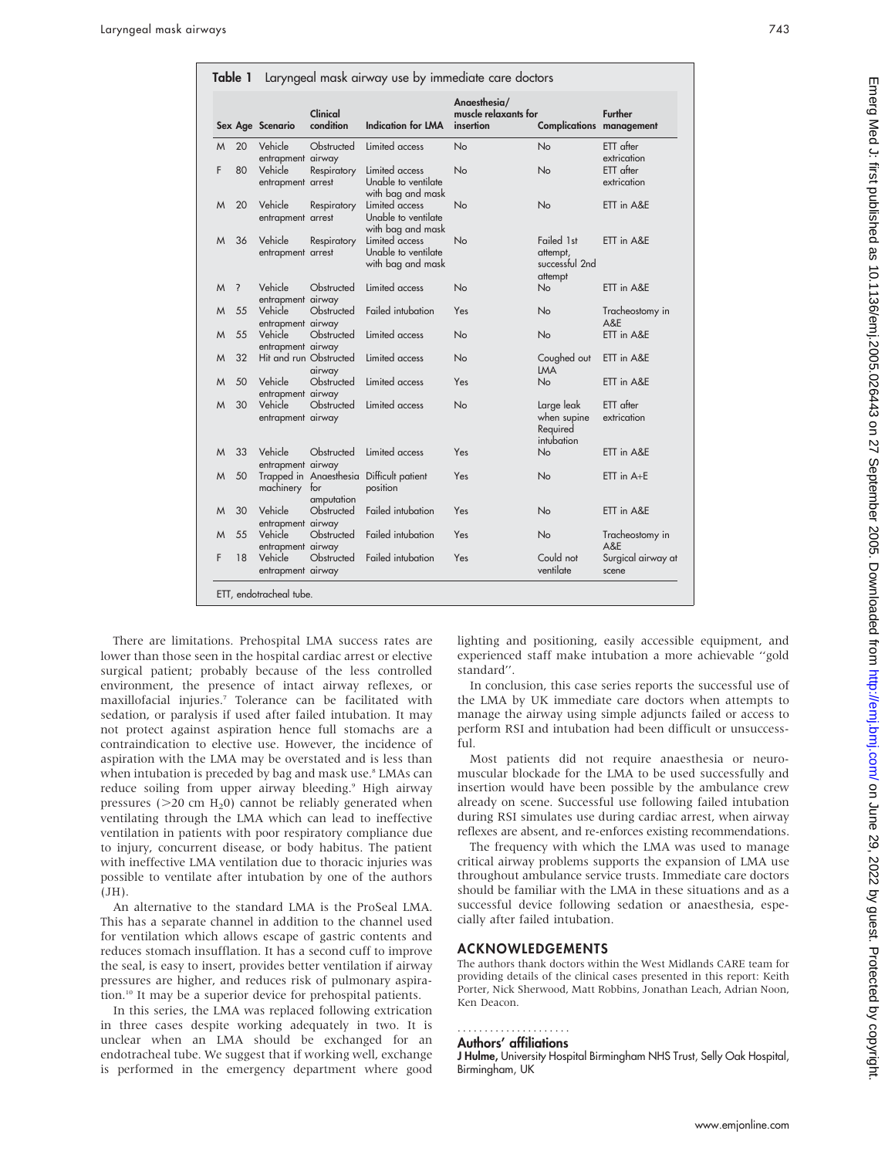|   |                          | Sex Age Scenario             | Clinical<br>condition                | Indication for LMA                                         | Anaesthesia/<br>muscle relaxants for<br>insertion | <b>Complications management</b>                     | <b>Further</b>              |
|---|--------------------------|------------------------------|--------------------------------------|------------------------------------------------------------|---------------------------------------------------|-----------------------------------------------------|-----------------------------|
| M | 20                       | Vehicle<br>entrapment airway | Obstructed                           | Limited access                                             | No                                                | <b>No</b>                                           | ETT after<br>extrication    |
| F | 80                       | Vehicle<br>entrapment arrest | Respiratory                          | Limited access<br>Unable to ventilate<br>with bag and mask | No                                                | No                                                  | $ETT$ after<br>extrication  |
| M | 20                       | Vehicle<br>entrapment arrest | Respiratory                          | Limited access<br>Unable to ventilate<br>with bag and mask | No                                                | No                                                  | ETT in A&E                  |
| M | 36                       | Vehicle<br>entrapment arrest | Respiratory                          | Limited access<br>Unable to ventilate<br>with bag and mask | No                                                | Failed 1st<br>attempt,<br>successful 2nd<br>attempt | ETT in A&E                  |
| M | $\overline{\phantom{0}}$ | Vehicle<br>entrapment airway | Obstructed                           | Limited access                                             | No                                                | No                                                  | ETT in A&E                  |
| M | 55                       | Vehicle<br>entrapment airway | Obstructed                           | Failed intubation                                          | Yes                                               | No                                                  | Tracheostomy in<br>A&E      |
| M | 55                       | Vehicle<br>entrapment airway | Obstructed                           | Limited access                                             | No                                                | No                                                  | ETT in A&E                  |
| M | 32                       | Hit and run Obstructed       | airway                               | Limited access                                             | No                                                | Coughed out<br><b>LMA</b>                           | ETT in A&E                  |
| M | 50                       | Vehicle<br>entrapment airway | Obstructed                           | Limited access                                             | Yes                                               | N <sub>o</sub>                                      | ETT in A&E                  |
| M | 30                       | Vehicle<br>entrapment airway | Obstructed                           | Limited access                                             | No                                                | Large leak<br>when supine<br>Required<br>intubation | ETT after<br>extrication    |
| M | 33                       | Vehicle<br>entrapment airway | Obstructed                           | Limited access                                             | Yes                                               | No                                                  | ETT in A&E                  |
| M | 50                       | machinery for                | Trapped in Anaesthesia<br>amputation | Difficult patient<br>position                              | Yes                                               | No                                                  | $ETT$ in $A+E$              |
| M | 30                       | Vehicle<br>entrapment airway | Obstructed                           | Failed intubation                                          | Yes                                               | <b>No</b>                                           | ETT in A&E                  |
| M | 55                       | Vehicle<br>entrapment airway | Obstructed                           | Failed intubation                                          | Yes                                               | <b>No</b>                                           | Tracheostomy in<br>A&E      |
| F | 18                       | Vehicle<br>entrapment airway | Obstructed                           | Failed intubation                                          | Yes                                               | Could not<br>ventilate                              | Surgical airway at<br>scene |

There are limitations. Prehospital LMA success rates are lower than those seen in the hospital cardiac arrest or elective surgical patient; probably because of the less controlled environment, the presence of intact airway reflexes, or maxillofacial injuries.7 Tolerance can be facilitated with sedation, or paralysis if used after failed intubation. It may not protect against aspiration hence full stomachs are a contraindication to elective use. However, the incidence of aspiration with the LMA may be overstated and is less than when intubation is preceded by bag and mask use.<sup>8</sup> LMAs can reduce soiling from upper airway bleeding.<sup>9</sup> High airway pressures ( $>$ 20 cm H<sub>2</sub>0) cannot be reliably generated when ventilating through the LMA which can lead to ineffective ventilation in patients with poor respiratory compliance due to injury, concurrent disease, or body habitus. The patient with ineffective LMA ventilation due to thoracic injuries was possible to ventilate after intubation by one of the authors (JH).

An alternative to the standard LMA is the ProSeal LMA. This has a separate channel in addition to the channel used for ventilation which allows escape of gastric contents and reduces stomach insufflation. It has a second cuff to improve the seal, is easy to insert, provides better ventilation if airway pressures are higher, and reduces risk of pulmonary aspiration.10 It may be a superior device for prehospital patients.

In this series, the LMA was replaced following extrication in three cases despite working adequately in two. It is unclear when an LMA should be exchanged for an endotracheal tube. We suggest that if working well, exchange is performed in the emergency department where good

lighting and positioning, easily accessible equipment, and experienced staff make intubation a more achievable ''gold standard''.

In conclusion, this case series reports the successful use of the LMA by UK immediate care doctors when attempts to manage the airway using simple adjuncts failed or access to perform RSI and intubation had been difficult or unsuccessful.

Most patients did not require anaesthesia or neuromuscular blockade for the LMA to be used successfully and insertion would have been possible by the ambulance crew already on scene. Successful use following failed intubation during RSI simulates use during cardiac arrest, when airway reflexes are absent, and re-enforces existing recommendations.

The frequency with which the LMA was used to manage critical airway problems supports the expansion of LMA use throughout ambulance service trusts. Immediate care doctors should be familiar with the LMA in these situations and as a successful device following sedation or anaesthesia, especially after failed intubation.

#### ACKNOWLEDGEMENTS

The authors thank doctors within the West Midlands CARE team for providing details of the clinical cases presented in this report: Keith Porter, Nick Sherwood, Matt Robbins, Jonathan Leach, Adrian Noon, Ken Deacon.

#### Authors' affiliations .....................

J Hulme, University Hospital Birmingham NHS Trust, Selly Oak Hospital, Birmingham, UK